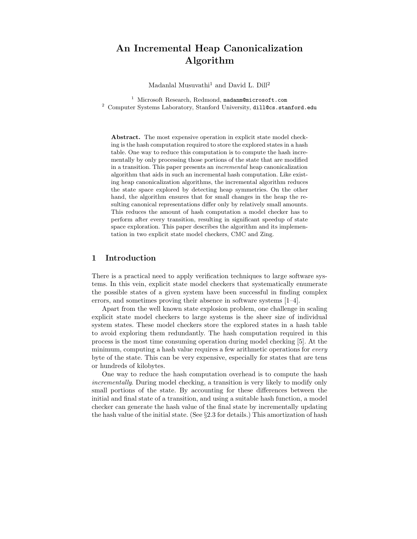# An Incremental Heap Canonicalization Algorithm

Madanlal Musuvathi<sup>1</sup> and David L. Dill<sup>2</sup>

<sup>1</sup> Microsoft Research, Redmond, madanm@microsoft.com <sup>2</sup> Computer Systems Laboratory, Stanford University, dill@cs.stanford.edu

Abstract. The most expensive operation in explicit state model checking is the hash computation required to store the explored states in a hash table. One way to reduce this computation is to compute the hash incrementally by only processing those portions of the state that are modified in a transition. This paper presents an incremental heap canonicalization algorithm that aids in such an incremental hash computation. Like existing heap canonicalization algorithms, the incremental algorithm reduces the state space explored by detecting heap symmetries. On the other hand, the algorithm ensures that for small changes in the heap the resulting canonical representations differ only by relatively small amounts. This reduces the amount of hash computation a model checker has to perform after every transition, resulting in significant speedup of state space exploration. This paper describes the algorithm and its implementation in two explicit state model checkers, CMC and Zing.

# 1 Introduction

There is a practical need to apply verification techniques to large software systems. In this vein, explicit state model checkers that systematically enumerate the possible states of a given system have been successful in finding complex errors, and sometimes proving their absence in software systems [1–4].

Apart from the well known state explosion problem, one challenge in scaling explicit state model checkers to large systems is the sheer size of individual system states. These model checkers store the explored states in a hash table to avoid exploring them redundantly. The hash computation required in this process is the most time consuming operation during model checking [5]. At the minimum, computing a hash value requires a few arithmetic operations for *every* byte of the state. This can be very expensive, especially for states that are tens or hundreds of kilobytes.

One way to reduce the hash computation overhead is to compute the hash incrementally. During model checking, a transition is very likely to modify only small portions of the state. By accounting for these differences between the initial and final state of a transition, and using a suitable hash function, a model checker can generate the hash value of the final state by incrementally updating the hash value of the initial state. (See §2.3 for details.) This amortization of hash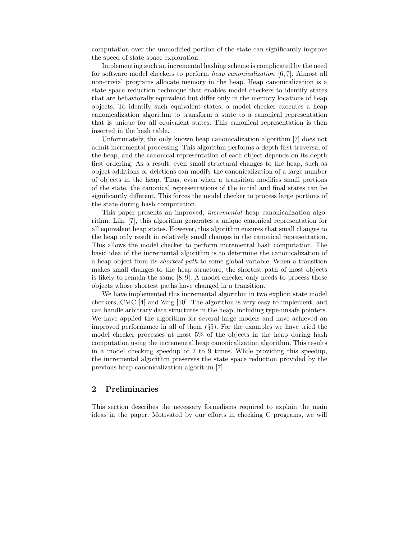computation over the unmodified portion of the state can significantly improve the speed of state space exploration.

Implementing such an incremental hashing scheme is complicated by the need for software model checkers to perform heap canonicalization [6, 7]. Almost all non-trivial programs allocate memory in the heap. Heap canonicalization is a state space reduction technique that enables model checkers to identify states that are behaviorally equivalent but differ only in the memory locations of heap objects. To identify such equivalent states, a model checker executes a heap canonicalization algorithm to transform a state to a canonical representation that is unique for all equivalent states. This canonical representation is then inserted in the hash table.

Unfortunately, the only known heap canonicalization algorithm [7] does not admit incremental processing. This algorithm performs a depth first traversal of the heap, and the canonical representation of each object depends on its depth first ordering. As a result, even small structural changes to the heap, such as object additions or deletions can modify the canonicalization of a large number of objects in the heap. Thus, even when a transition modifies small portions of the state, the canonical representations of the initial and final states can be significantly different. This forces the model checker to process large portions of the state during hash computation.

This paper presents an improved, incremental heap canonicalization algorithm. Like [7], this algorithm generates a unique canonical representation for all equivalent heap states. However, this algorithm ensures that small changes to the heap only result in relatively small changes in the canonical representation. This allows the model checker to perform incremental hash computation. The basic idea of the incremental algorithm is to determine the canonicalization of a heap object from its shortest path to some global variable. When a transition makes small changes to the heap structure, the shortest path of most objects is likely to remain the same [8, 9]. A model checker only needs to process those objects whose shortest paths have changed in a transition.

We have implemented this incremental algorithm in two explicit state model checkers, CMC [4] and Zing [10]. The algorithm is very easy to implement, and can handle arbitrary data structures in the heap, including type-unsafe pointers. We have applied the algorithm for several large models and have achieved an improved performance in all of them (§5). For the examples we have tried the model checker processes at most 5% of the objects in the heap during hash computation using the incremental heap canonicalization algorithm. This results in a model checking speedup of 2 to 9 times. While providing this speedup, the incremental algorithm preserves the state space reduction provided by the previous heap canonicalization algorithm [7].

# 2 Preliminaries

This section describes the necessary formalisms required to explain the main ideas in the paper. Motivated by our efforts in checking C programs, we will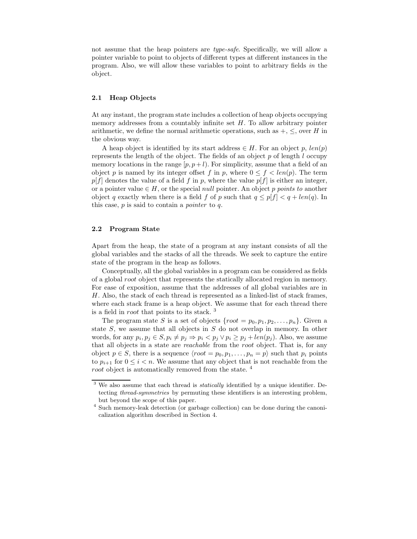not assume that the heap pointers are type-safe. Specifically, we will allow a pointer variable to point to objects of different types at different instances in the program. Also, we will allow these variables to point to arbitrary fields in the object.

### 2.1 Heap Objects

At any instant, the program state includes a collection of heap objects occupying memory addresses from a countably infinite set  $H$ . To allow arbitrary pointer arithmetic, we define the normal arithmetic operations, such as  $+$ ,  $\leq$ , over H in the obvious way.

A heap object is identified by its start address  $\in H$ . For an object p,  $len(p)$ represents the length of the object. The fields of an object  $p$  of length  $l$  occupy memory locations in the range  $[p, p+l)$ . For simplicity, assume that a field of an object p is named by its integer offset f in p, where  $0 \le f \le len(p)$ . The term  $p[f]$  denotes the value of a field f in p, where the value  $p[f]$  is either an integer, or a pointer value  $\in H$ , or the special *null* pointer. An object p points to another object q exactly when there is a field f of p such that  $q \leq p[f] < q + len(q)$ . In this case,  $p$  is said to contain a *pointer* to  $q$ .

### 2.2 Program State

Apart from the heap, the state of a program at any instant consists of all the global variables and the stacks of all the threads. We seek to capture the entire state of the program in the heap as follows.

Conceptually, all the global variables in a program can be considered as fields of a global root object that represents the statically allocated region in memory. For ease of exposition, assume that the addresses of all global variables are in H. Also, the stack of each thread is represented as a linked-list of stack frames, where each stack frame is a heap object. We assume that for each thread there is a field in root that points to its stack. <sup>3</sup>

The program state S is a set of objects  $\{root = p_0, p_1, p_2, \ldots, p_n\}$ . Given a state  $S$ , we assume that all objects in  $S$  do not overlap in memory. In other words, for any  $p_i, p_j \in S, p_i \neq p_j \Rightarrow p_i \langle p_j \vee p_i \geq p_j + len(p_j)$ . Also, we assume that all objects in a state are reachable from the root object. That is, for any object  $p \in S$ , there is a sequence  $\langle root = p_0, p_1, \ldots, p_n = p \rangle$  such that  $p_i$  points to  $p_{i+1}$  for  $0 \leq i < n$ . We assume that any object that is not reachable from the root object is automatically removed from the state.<sup>4</sup>

<sup>&</sup>lt;sup>3</sup> We also assume that each thread is *statically* identified by a unique identifier. Detecting thread-symmetries by permuting these identifiers is an interesting problem, but beyond the scope of this paper.

<sup>4</sup> Such memory-leak detection (or garbage collection) can be done during the canonicalization algorithm described in Section 4.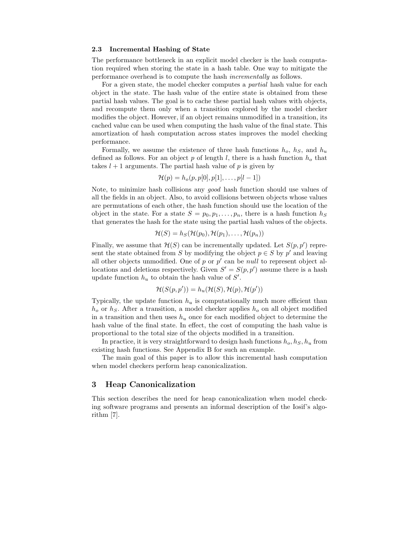#### 2.3 Incremental Hashing of State

The performance bottleneck in an explicit model checker is the hash computation required when storing the state in a hash table. One way to mitigate the performance overhead is to compute the hash incrementally as follows.

For a given state, the model checker computes a partial hash value for each object in the state. The hash value of the entire state is obtained from these partial hash values. The goal is to cache these partial hash values with objects, and recompute them only when a transition explored by the model checker modifies the object. However, if an object remains unmodified in a transition, its cached value can be used when computing the hash value of the final state. This amortization of hash computation across states improves the model checking performance.

Formally, we assume the existence of three hash functions  $h_o$ ,  $h_s$ , and  $h_u$ defined as follows. For an object p of length l, there is a hash function  $h<sub>o</sub>$  that takes  $l + 1$  arguments. The partial hash value of p is given by

$$
\mathcal{H}(p) = h_o(p, p[0], p[1], \ldots, p[l-1])
$$

Note, to minimize hash collisions any good hash function should use values of all the fields in an object. Also, to avoid collisions between objects whose values are permutations of each other, the hash function should use the location of the object in the state. For a state  $S = p_0, p_1, \ldots, p_n$ , there is a hash function  $h_S$ that generates the hash for the state using the partial hash values of the objects.

$$
\mathcal{H}(S) = h_S(\mathcal{H}(p_0), \mathcal{H}(p_1), \ldots, \mathcal{H}(p_n))
$$

Finally, we assume that  $\mathcal{H}(S)$  can be incrementally updated. Let  $S(p, p')$  represent the state obtained from S by modifying the object  $p \in S$  by p' and leaving all other objects unmodified. One of p or  $p'$  can be null to represent object allocations and deletions respectively. Given  $S' = S(p, p')$  assume there is a hash update function  $h_u$  to obtain the hash value of  $S'$ .

$$
\mathcal{H}(S(p, p')) = h_u(\mathcal{H}(S), \mathcal{H}(p), \mathcal{H}(p'))
$$

Typically, the update function  $h_u$  is computationally much more efficient than  $h_o$  or  $h<sub>S</sub>$ . After a transition, a model checker applies  $h_o$  on all object modified in a transition and then uses  $h_u$  once for each modified object to determine the hash value of the final state. In effect, the cost of computing the hash value is proportional to the total size of the objects modified in a transition.

In practice, it is very straightforward to design hash functions  $h_0, h_S, h_u$  from existing hash functions. See Appendix B for such an example.

The main goal of this paper is to allow this incremental hash computation when model checkers perform heap canonicalization.

### 3 Heap Canonicalization

This section describes the need for heap canonicalization when model checking software programs and presents an informal description of the Iosif's algorithm [7].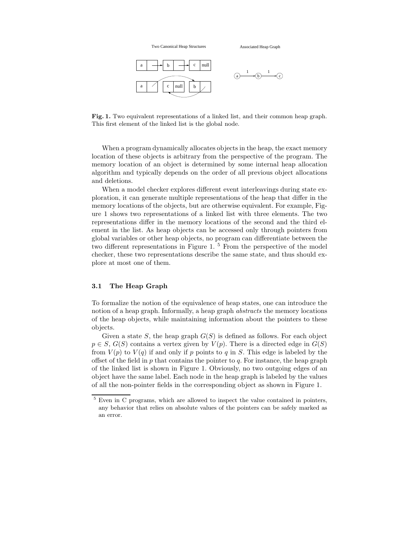



Fig. 1. Two equivalent representations of a linked list, and their common heap graph. This first element of the linked list is the global node.

When a program dynamically allocates objects in the heap, the exact memory location of these objects is arbitrary from the perspective of the program. The memory location of an object is determined by some internal heap allocation algorithm and typically depends on the order of all previous object allocations and deletions.

When a model checker explores different event interleavings during state exploration, it can generate multiple representations of the heap that differ in the memory locations of the objects, but are otherwise equivalent. For example, Figure 1 shows two representations of a linked list with three elements. The two representations differ in the memory locations of the second and the third element in the list. As heap objects can be accessed only through pointers from global variables or other heap objects, no program can differentiate between the two different representations in Figure 1. <sup>5</sup> From the perspective of the model checker, these two representations describe the same state, and thus should explore at most one of them.

# 3.1 The Heap Graph

To formalize the notion of the equivalence of heap states, one can introduce the notion of a heap graph. Informally, a heap graph *abstracts* the memory locations of the heap objects, while maintaining information about the pointers to these objects.

Given a state S, the heap graph  $G(S)$  is defined as follows. For each object  $p \in S$ ,  $G(S)$  contains a vertex given by  $V(p)$ . There is a directed edge in  $G(S)$ from  $V(p)$  to  $V(q)$  if and only if p points to q in S. This edge is labeled by the offset of the field in  $p$  that contains the pointer to  $q$ . For instance, the heap graph of the linked list is shown in Figure 1. Obviously, no two outgoing edges of an object have the same label. Each node in the heap graph is labeled by the values of all the non-pointer fields in the corresponding object as shown in Figure 1.

<sup>5</sup> Even in C programs, which are allowed to inspect the value contained in pointers, any behavior that relies on absolute values of the pointers can be safely marked as an error.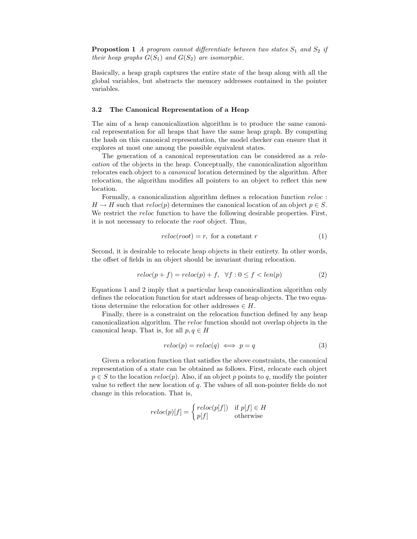**Propostion 1** A program cannot differentiate between two states  $S_1$  and  $S_2$  if their heap graphs  $G(S_1)$  and  $G(S_2)$  are isomorphic.

Basically, a heap graph captures the entire state of the heap along with all the global variables, but abstracts the memory addresses contained in the pointer variables.

#### 3.2 The Canonical Representation of a Heap

The aim of a heap canonicalization algorithm is to produce the same canonical representation for all heaps that have the same heap graph. By computing the hash on this canonical representation, the model checker can ensure that it explores at most one among the possible equivalent states.

The generation of a canonical representation can be considered as a relocation of the objects in the heap. Conceptually, the canonicalization algorithm relocates each object to a canonical location determined by the algorithm. After relocation, the algorithm modifies all pointers to an object to reflect this new location.

Formally, a canonicalization algorithm defines a relocation function reloc :  $H \to H$  such that  $reloc(p)$  determines the canonical location of an object  $p \in S$ . We restrict the *reloc* function to have the following desirable properties. First, it is not necessary to relocate the root object. Thus,

$$
reloc(root) = r, \text{ for a constant } r \tag{1}
$$

Second, it is desirable to relocate heap objects in their entirety. In other words, the offset of fields in an object should be invariant during relocation.

$$
reloc(p+f) = reloc(p) + f, \quad \forall f : 0 \le f < len(p) \tag{2}
$$

Equations 1 and 2 imply that a particular heap canonicalization algorithm only defines the relocation function for start addresses of heap objects. The two equations determine the relocation for other addresses  $\in H$ .

Finally, there is a constraint on the relocation function defined by any heap canonicalization algorithm. The reloc function should not overlap objects in the canonical heap. That is, for all  $p, q \in H$ 

$$
reloc(p) = reloc(q) \iff p = q \tag{3}
$$

Given a relocation function that satisfies the above constraints, the canonical representation of a state can be obtained as follows. First, relocate each object  $p \in S$  to the location  $reloc(p)$ . Also, if an object p points to q, modify the pointer value to reflect the new location of  $q$ . The values of all non-pointer fields do not change in this relocation. That is,

$$
reloc(p)[f] = \begin{cases} reloc(p[f]) & \text{if } p[f] \in H \\ p[f] & \text{otherwise} \end{cases}
$$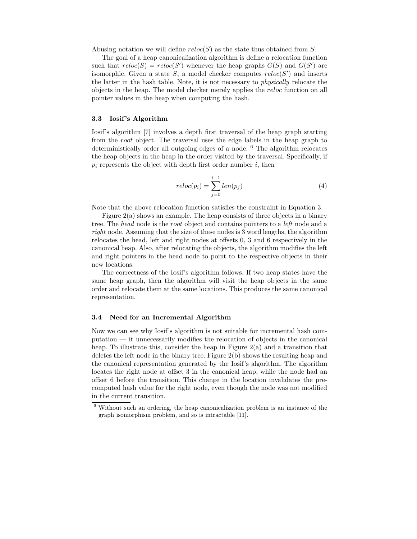Abusing notation we will define  $reloc(S)$  as the state thus obtained from S.

The goal of a heap canonicalization algorithm is define a relocation function such that  $reloc(S) = reloc(S')$  whenever the heap graphs  $G(S)$  and  $G(S')$  are isomorphic. Given a state  $S$ , a model checker computes  $reloc(S')$  and inserts the latter in the hash table. Note, it is not necessary to physically relocate the objects in the heap. The model checker merely applies the reloc function on all pointer values in the heap when computing the hash.

#### 3.3 Iosif 's Algorithm

Iosif's algorithm [7] involves a depth first traversal of the heap graph starting from the root object. The traversal uses the edge labels in the heap graph to deterministically order all outgoing edges of a node. <sup>6</sup> The algorithm relocates the heap objects in the heap in the order visited by the traversal. Specifically, if  $p_i$  represents the object with depth first order number i, then

$$
reloc(p_i) = \sum_{j=0}^{i-1} len(p_j)
$$
\n(4)

Note that the above relocation function satisfies the constraint in Equation 3.

Figure  $2(a)$  shows an example. The heap consists of three objects in a binary tree. The head node is the root object and contains pointers to a left node and a right node. Assuming that the size of these nodes is 3 word lengths, the algorithm relocates the head, left and right nodes at offsets 0, 3 and 6 respectively in the canonical heap. Also, after relocating the objects, the algorithm modifies the left and right pointers in the head node to point to the respective objects in their new locations.

The correctness of the Iosif's algorithm follows. If two heap states have the same heap graph, then the algorithm will visit the heap objects in the same order and relocate them at the same locations. This produces the same canonical representation.

#### 3.4 Need for an Incremental Algorithm

Now we can see why Iosif's algorithm is not suitable for incremental hash computation — it unnecessarily modifies the relocation of objects in the canonical heap. To illustrate this, consider the heap in Figure 2(a) and a transition that deletes the left node in the binary tree. Figure 2(b) shows the resulting heap and the canonical representation generated by the Iosif's algorithm. The algorithm locates the right node at offset 3 in the canonical heap, while the node had an offset 6 before the transition. This change in the location invalidates the precomputed hash value for the right node, even though the node was not modified in the current transition.

 $^6$  Without such an ordering, the heap canonicalization problem is an instance of the  $\,$ graph isomorphism problem, and so is intractable [11].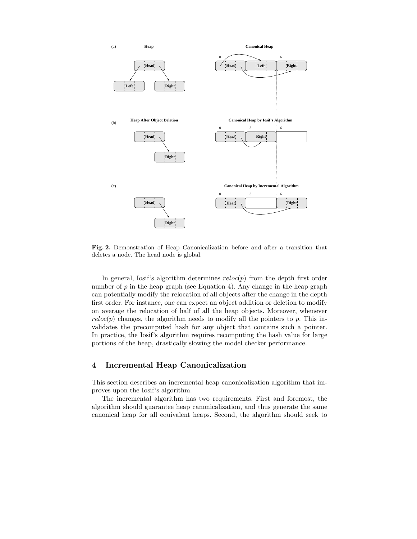

Fig. 2. Demonstration of Heap Canonicalization before and after a transition that deletes a node. The head node is global.

In general, Iosif's algorithm determines  $reloc(p)$  from the depth first order number of  $p$  in the heap graph (see Equation 4). Any change in the heap graph can potentially modify the relocation of all objects after the change in the depth first order. For instance, one can expect an object addition or deletion to modify on average the relocation of half of all the heap objects. Moreover, whenever  $reloc(p)$  changes, the algorithm needs to modify all the pointers to p. This invalidates the precomputed hash for any object that contains such a pointer. In practice, the Iosif's algorithm requires recomputing the hash value for large portions of the heap, drastically slowing the model checker performance.

### 4 Incremental Heap Canonicalization

This section describes an incremental heap canonicalization algorithm that improves upon the Iosif's algorithm.

The incremental algorithm has two requirements. First and foremost, the algorithm should guarantee heap canonicalization, and thus generate the same canonical heap for all equivalent heaps. Second, the algorithm should seek to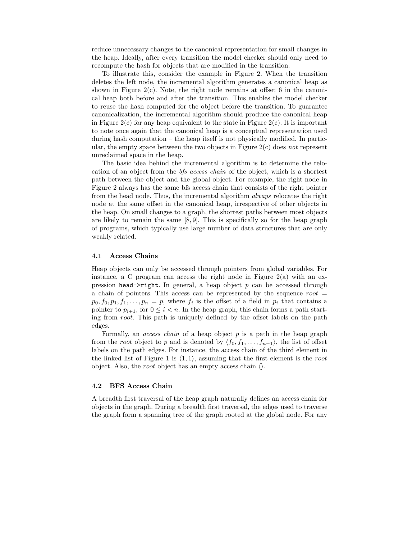reduce unnecessary changes to the canonical representation for small changes in the heap. Ideally, after every transition the model checker should only need to recompute the hash for objects that are modified in the transition.

To illustrate this, consider the example in Figure 2. When the transition deletes the left node, the incremental algorithm generates a canonical heap as shown in Figure  $2(c)$ . Note, the right node remains at offset 6 in the canonical heap both before and after the transition. This enables the model checker to reuse the hash computed for the object before the transition. To guarantee canonicalization, the incremental algorithm should produce the canonical heap in Figure  $2(c)$  for any heap equivalent to the state in Figure  $2(c)$ . It is important to note once again that the canonical heap is a conceptual representation used during hash computation – the heap itself is not physically modified. In particular, the empty space between the two objects in Figure  $2(c)$  does not represent unreclaimed space in the heap.

The basic idea behind the incremental algorithm is to determine the relocation of an object from the bfs access chain of the object, which is a shortest path between the object and the global object. For example, the right node in Figure 2 always has the same bfs access chain that consists of the right pointer from the head node. Thus, the incremental algorithm always relocates the right node at the same offset in the canonical heap, irrespective of other objects in the heap. On small changes to a graph, the shortest paths between most objects are likely to remain the same [8, 9]. This is specifically so for the heap graph of programs, which typically use large number of data structures that are only weakly related.

#### 4.1 Access Chains

Heap objects can only be accessed through pointers from global variables. For instance, a C program can access the right node in Figure  $2(a)$  with an expression head- $\triangleright$ right. In general, a heap object p can be accessed through a chain of pointers. This access can be represented by the sequence  $root =$  $p_0, f_0, p_1, f_1, \ldots, p_n = p$ , where  $f_i$  is the offset of a field in  $p_i$  that contains a pointer to  $p_{i+1}$ , for  $0 \leq i < n$ . In the heap graph, this chain forms a path starting from root. This path is uniquely defined by the offset labels on the path edges.

Formally, an *access chain* of a heap object  $p$  is a path in the heap graph from the *root* object to p and is denoted by  $\langle f_0, f_1, \ldots, f_{n-1} \rangle$ , the list of offset labels on the path edges. For instance, the access chain of the third element in the linked list of Figure 1 is  $\langle 1, 1 \rangle$ , assuming that the first element is the root object. Also, the root object has an empty access chain  $\langle \rangle$ .

### 4.2 BFS Access Chain

A breadth first traversal of the heap graph naturally defines an access chain for objects in the graph. During a breadth first traversal, the edges used to traverse the graph form a spanning tree of the graph rooted at the global node. For any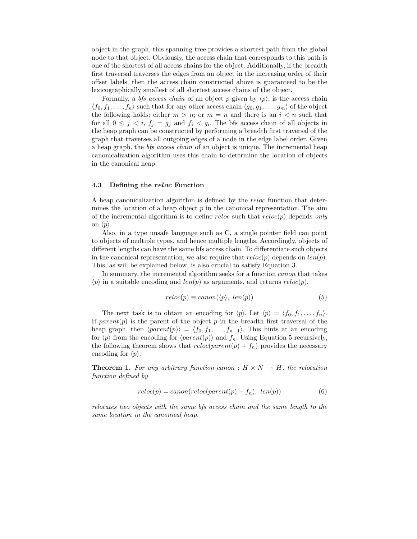object in the graph, this spanning tree provides a shortest path from the global node to that object. Obviously, the access chain that corresponds to this path is one of the shortest of all access chains for the object. Additionally, if the breadth first traversal traverses the edges from an object in the increasing order of their offset labels, then the access chain constructed above is guaranteed to be the lexicographically smallest of all shortest access chains of the object.

Formally, a bfs access chain of an object p given by  $\langle p \rangle$ , is the access chain  $\langle f_0, f_1, \ldots, f_n \rangle$  such that for any other access chain  $\langle g_0, g_1, \ldots, g_m \rangle$  of the object the following holds: either  $m > n$ ; or  $m = n$  and there is an  $i < n$  such that for all  $0 \leq j \leq i$ ,  $f_j = g_j$  and  $f_i \leq g_i$ . The bfs access chain of all objects in the heap graph can be constructed by performing a breadth first traversal of the graph that traverses all outgoing edges of a node in the edge label order. Given a heap graph, the *bfs access chain* of an object is unique. The incremental heap canonicalization algorithm uses this chain to determine the location of objects in the canonical heap.

#### 4.3 Defining the reloc Function

A heap canonicalization algorithm is defined by the reloc function that determines the location of a heap object  $p$  in the canonical representation. The aim of the incremental algorithm is to define *reloc* such that  $reloc(p)$  depends only on  $\langle p \rangle$ .

Also, in a type unsafe language such as C, a single pointer field can point to objects of multiple types, and hence multiple lengths. Accordingly, objects of different lengths can have the same bfs access chain. To differentiate such objects in the canonical representation, we also require that  $reloc(p)$  depends on  $len(p)$ . This, as will be explained below, is also crucial to satisfy Equation 3.

In summary, the incremental algorithm seeks for a function canon that takes  $\langle p \rangle$  in a suitable encoding and len(p) as arguments, and returns reloc(p).

$$
reloc(p) \equiv canon(\langle p \rangle, len(p))
$$
\n(5)

The next task is to obtain an encoding for  $\langle p \rangle$ . Let  $\langle p \rangle = \langle f_0, f_1, \ldots, f_n \rangle$ . If  $parent(p)$  is the parent of the object p in the breadth first traversal of the heap graph, then  $\langle parent(p) \rangle = \langle f_0, f_1, \ldots, f_{n-1} \rangle$ . This hints at an encoding for  $\langle p \rangle$  from the encoding for  $\langle parent(p) \rangle$  and  $f_n$ . Using Equation 5 recursively, the following theorem shows that  $reloc(parent(p) + f_n)$  provides the necessary encoding for  $\langle p \rangle$ .

**Theorem 1.** For any arbitrary function canon :  $H \times N \rightarrow H$ , the relocation function defined by

$$
reloc(p) = canon(reloc(parent(p) + f_n), len(p))
$$
\n(6)

relocates two objects with the same bfs access chain and the same length to the same location in the canonical heap.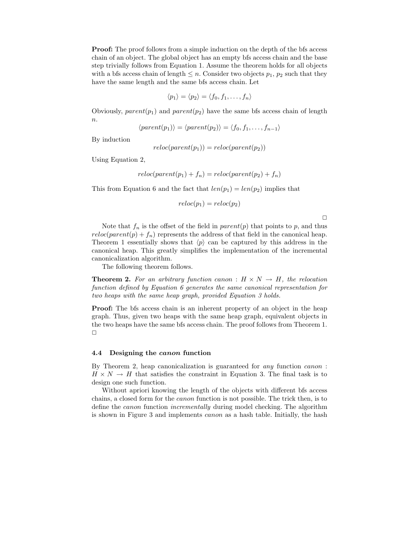**Proof:** The proof follows from a simple induction on the depth of the bfs access chain of an object. The global object has an empty bfs access chain and the base step trivially follows from Equation 1. Assume the theorem holds for all objects with a bfs access chain of length  $\leq n$ . Consider two objects  $p_1, p_2$  such that they have the same length and the same bfs access chain. Let

$$
\langle p_1 \rangle = \langle p_2 \rangle = \langle f_0, f_1, \dots, f_n \rangle
$$

Obviously, parent $(p_1)$  and parent $(p_2)$  have the same bfs access chain of length  $\overline{n}$ .

$$
\langle parent(p_1) \rangle = \langle parent(p_2) \rangle = \langle f_0, f_1, \dots, f_{n-1} \rangle
$$

By induction

 $reloc(parent(p_1)) = reloc(parent(p_2))$ 

Using Equation 2,

$$
reloc(parent(p1) + fn) = reloc(parent(p2) + fn)
$$

This from Equation 6 and the fact that  $len(p_1) = len(p_2)$  implies that

$$
reloc(p_1) = reloc(p_2)
$$

 $\Box$ 

Note that  $f_n$  is the offset of the field in  $parent(p)$  that points to p, and thus  $reloc(parent(p) + f_n)$  represents the address of that field in the canonical heap. Theorem 1 essentially shows that  $\langle p \rangle$  can be captured by this address in the canonical heap. This greatly simplifies the implementation of the incremental canonicalization algorithm.

The following theorem follows.

**Theorem 2.** For an arbitrary function canon :  $H \times N \rightarrow H$ , the relocation function defined by Equation 6 generates the same canonical representation for two heaps with the same heap graph, provided Equation 3 holds.

**Proof:** The bfs access chain is an inherent property of an object in the heap graph. Thus, given two heaps with the same heap graph, equivalent objects in the two heaps have the same bfs access chain. The proof follows from Theorem 1.  $\Box$ 

#### 4.4 Designing the canon function

By Theorem 2, heap canonicalization is guaranteed for any function canon :  $H \times N \to H$  that satisfies the constraint in Equation 3. The final task is to design one such function.

Without apriori knowing the length of the objects with different bfs access chains, a closed form for the canon function is not possible. The trick then, is to define the canon function incrementally during model checking. The algorithm is shown in Figure 3 and implements canon as a hash table. Initially, the hash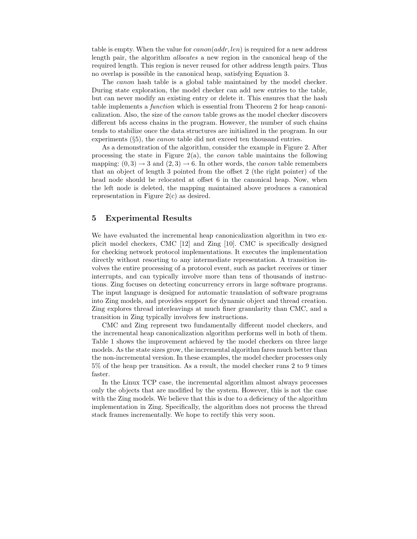table is empty. When the value for  $canon(addr, len)$  is required for a new address length pair, the algorithm allocates a new region in the canonical heap of the required length. This region is never reused for other address length pairs. Thus no overlap is possible in the canonical heap, satisfying Equation 3.

The canon hash table is a global table maintained by the model checker. During state exploration, the model checker can add new entries to the table, but can never modify an existing entry or delete it. This ensures that the hash table implements a function which is essential from Theorem 2 for heap canonicalization. Also, the size of the canon table grows as the model checker discovers different bfs access chains in the program. However, the number of such chains tends to stabilize once the data structures are initialized in the program. In our experiments (§5), the *canon* table did not exceed ten thousand entries.

As a demonstration of the algorithm, consider the example in Figure 2. After processing the state in Figure 2(a), the *canon* table maintains the following mapping:  $(0, 3) \rightarrow 3$  and  $(2, 3) \rightarrow 6$ . In other words, the *canon* table remembers that an object of length 3 pointed from the offset 2 (the right pointer) of the head node should be relocated at offset 6 in the canonical heap. Now, when the left node is deleted, the mapping maintained above produces a canonical representation in Figure 2(c) as desired.

## 5 Experimental Results

We have evaluated the incremental heap canonicalization algorithm in two explicit model checkers, CMC [12] and Zing [10]. CMC is specifically designed for checking network protocol implementations. It executes the implementation directly without resorting to any intermediate representation. A transition involves the entire processing of a protocol event, such as packet receives or timer interrupts, and can typically involve more than tens of thousands of instructions. Zing focuses on detecting concurrency errors in large software programs. The input language is designed for automatic translation of software programs into Zing models, and provides support for dynamic object and thread creation. Zing explores thread interleavings at much finer granularity than CMC, and a transition in Zing typically involves few instructions.

CMC and Zing represent two fundamentally different model checkers, and the incremental heap canonicalization algorithm performs well in both of them. Table 1 shows the improvement achieved by the model checkers on three large models. As the state sizes grow, the incremental algorithm fares much better than the non-incremental version. In these examples, the model checker processes only 5% of the heap per transition. As a result, the model checker runs 2 to 9 times faster.

In the Linux TCP case, the incremental algorithm almost always processes only the objects that are modified by the system. However, this is not the case with the Zing models. We believe that this is due to a deficiency of the algorithm implementation in Zing. Specifically, the algorithm does not process the thread stack frames incrementally. We hope to rectify this very soon.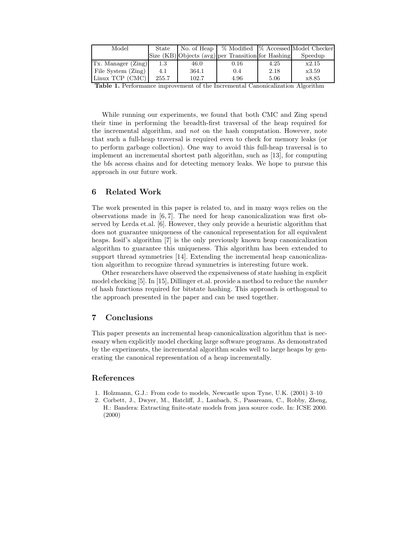| Model              | State   | No. of Heap |                                                    |      | % Modified  % Accessed Model Checker |
|--------------------|---------|-------------|----------------------------------------------------|------|--------------------------------------|
|                    |         |             | Size (KB) Objects (avg) per Transition for Hashing |      | Speedup                              |
| Tx. Manager (Zing) | $1.3\,$ | 46.0        | 0.16                                               | 4.25 | x2.15                                |
| File System (Zing) | 4.1     | 364.1       | 0.4                                                | 2.18 | x3.59                                |
| Linux TCP (CMC)    | 255.7   | 102.7       | 4.96                                               | 5.06 | x8.85                                |

Table 1. Performance improvement of the Incremental Canonicalization Algorithm

While running our experiments, we found that both CMC and Zing spend their time in performing the breadth-first traversal of the heap required for the incremental algorithm, and not on the hash computation. However, note that such a full-heap traversal is required even to check for memory leaks (or to perform garbage collection). One way to avoid this full-heap traversal is to implement an incremental shortest path algorithm, such as [13], for computing the bfs access chains and for detecting memory leaks. We hope to pursue this approach in our future work.

## 6 Related Work

The work presented in this paper is related to, and in many ways relies on the observations made in [6, 7]. The need for heap canonicalization was first observed by Lerda et.al. [6]. However, they only provide a heuristic algorithm that does not guarantee uniqueness of the canonical representation for all equivalent heaps. Iosif's algorithm [7] is the only previously known heap canonicalization algorithm to guarantee this uniqueness. This algorithm has been extended to support thread symmetries [14]. Extending the incremental heap canonicalization algorithm to recognize thread symmetries is interesting future work.

Other researchers have observed the expensiveness of state hashing in explicit model checking [5]. In [15], Dillinger et.al. provide a method to reduce the number of hash functions required for bitstate hashing. This approach is orthogonal to the approach presented in the paper and can be used together.

### 7 Conclusions

This paper presents an incremental heap canonicalization algorithm that is necessary when explicitly model checking large software programs. As demonstrated by the experiments, the incremental algorithm scales well to large heaps by generating the canonical representation of a heap incrementally.

# References

- 1. Holzmann, G.J.: From code to models, Newcastle upon Tyne, U.K. (2001) 3–10
- 2. Corbett, J., Dwyer, M., Hatcliff, J., Laubach, S., Pasareanu, C., Robby, Zheng, H.: Bandera: Extracting finite-state models from java source code. In: ICSE 2000. (2000)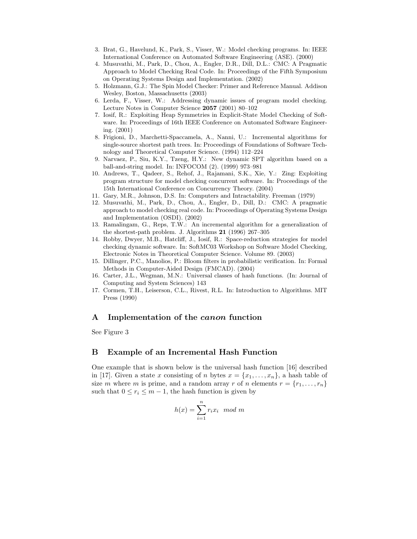- 3. Brat, G., Havelund, K., Park, S., Visser, W.: Model checking programs. In: IEEE International Conference on Automated Software Engineering (ASE). (2000)
- 4. Musuvathi, M., Park, D., Chou, A., Engler, D.R., Dill, D.L.: CMC: A Pragmatic Approach to Model Checking Real Code. In: Proceedings of the Fifth Symposium on Operating Systems Design and Implementation. (2002)
- 5. Holzmann, G.J.: The Spin Model Checker: Primer and Reference Manual. Addison Wesley, Boston, Massachusetts (2003)
- 6. Lerda, F., Visser, W.: Addressing dynamic issues of program model checking. Lecture Notes in Computer Science 2057 (2001) 80–102
- 7. Iosif, R.: Exploiting Heap Symmetries in Explicit-State Model Checking of Software. In: Proceedings of 16th IEEE Conference on Automated Software Engineering. (2001)
- 8. Frigioni, D., Marchetti-Spaccamela, A., Nanni, U.: Incremental algorithms for single-source shortest path trees. In: Proceedings of Foundations of Software Technology and Theoretical Computer Science. (1994) 112–224
- 9. Narvaez, P., Siu, K.Y., Tzeng, H.Y.: New dynamic SPT algorithm based on a ball-and-string model. In: INFOCOM (2). (1999) 973–981
- 10. Andrews, T., Qadeer, S., Rehof, J., Rajamani, S.K., Xie, Y.: Zing: Exploiting program structure for model checking concurrent software. In: Proceedings of the 15th International Conference on Concurrency Theory. (2004)
- 11. Gary, M.R., Johnson, D.S. In: Computers and Intractability. Freeman (1979)
- 12. Musuvathi, M., Park, D., Chou, A., Engler, D., Dill, D.: CMC: A pragmatic approach to model checking real code. In: Proceedings of Operating Systems Design and Implementation (OSDI). (2002)
- 13. Ramalingam, G., Reps, T.W.: An incremental algorithm for a generalization of the shortest-path problem. J. Algorithms 21 (1996) 267–305
- 14. Robby, Dwyer, M.B., Hatcliff, J., Iosif, R.: Space-reduction strategies for model checking dynamic software. In: SoftMC03 Workshop on Software Model Checking, Electronic Notes in Theoretical Computer Science. Volume 89. (2003)
- 15. Dillinger, P.C., Manolios, P.: Bloom filters in probabilistic verification. In: Formal Methods in Computer-Aided Design (FMCAD). (2004)
- 16. Carter, J.L., Wegman, M.N.: Universal classes of hash functions. (In: Journal of Computing and System Sciences) 143
- 17. Cormen, T.H., Leiserson, C.L., Rivest, R.L. In: Introduction to Algorithms. MIT Press (1990)

# A Implementation of the canon function

See Figure 3

# B Example of an Incremental Hash Function

One example that is shown below is the universal hash function [16] described in [17]. Given a state x consisting of n bytes  $x = \{x_1, \ldots, x_n\}$ , a hash table of size m where m is prime, and a random array r of n elements  $r = \{r_1, \ldots, r_n\}$ such that  $0 \leq r_i \leq m-1$ , the hash function is given by

$$
h(x) = \sum_{i=1}^{n} r_i x_i \mod m
$$